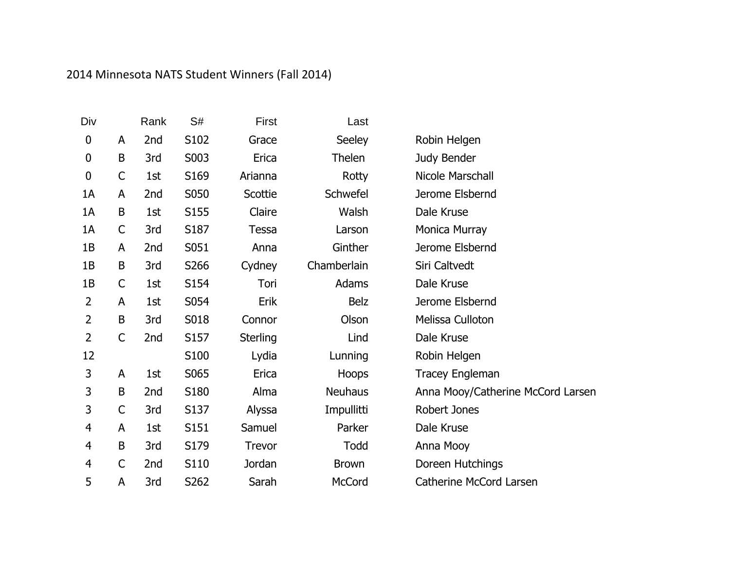## 2014 Minnesota NATS Student Winners (Fall 2014)

| Div              |              | Rank | S#   | First           | Last           |                                   |
|------------------|--------------|------|------|-----------------|----------------|-----------------------------------|
| $\boldsymbol{0}$ | A            | 2nd  | S102 | Grace           | Seeley         | Robin Helgen                      |
| $\boldsymbol{0}$ | B            | 3rd  | S003 | Erica           | Thelen         | Judy Bender                       |
| $\mathbf 0$      | $\mathsf{C}$ | 1st  | S169 | Arianna         | Rotty          | Nicole Marschall                  |
| 1A               | A            | 2nd  | S050 | Scottie         | Schwefel       | Jerome Elsbernd                   |
| 1A               | B            | 1st  | S155 | Claire          | Walsh          | Dale Kruse                        |
| 1A               | $\mathsf C$  | 3rd  | S187 | <b>Tessa</b>    | Larson         | Monica Murray                     |
| 1B               | A            | 2nd  | S051 | Anna            | Ginther        | Jerome Elsbernd                   |
| 1B               | B            | 3rd  | S266 | Cydney          | Chamberlain    | Siri Caltvedt                     |
| 1B               | $\mathsf C$  | 1st  | S154 | Tori            | Adams          | Dale Kruse                        |
| $\overline{2}$   | A            | 1st  | S054 | Erik            | <b>Belz</b>    | Jerome Elsbernd                   |
| $\overline{2}$   | $\sf B$      | 3rd  | S018 | Connor          | Olson          | Melissa Culloton                  |
| $\overline{2}$   | $\mathsf C$  | 2nd  | S157 | <b>Sterling</b> | Lind           | Dale Kruse                        |
| 12               |              |      | S100 | Lydia           | Lunning        | Robin Helgen                      |
| 3                | A            | 1st  | S065 | Erica           | Hoops          | <b>Tracey Engleman</b>            |
| 3                | B            | 2nd  | S180 | Alma            | <b>Neuhaus</b> | Anna Mooy/Catherine McCord Larsen |
| 3                | $\mathsf C$  | 3rd  | S137 | Alyssa          | Impullitti     | Robert Jones                      |
| $\overline{4}$   | A            | 1st  | S151 | Samuel          | Parker         | Dale Kruse                        |
| $\overline{4}$   | $\sf B$      | 3rd  | S179 | Trevor          | Todd           | Anna Mooy                         |
| $\overline{4}$   | $\mathsf{C}$ | 2nd  | S110 | Jordan          | <b>Brown</b>   | Doreen Hutchings                  |
| 5                | A            | 3rd  | S262 | Sarah           | McCord         | <b>Catherine McCord Larsen</b>    |